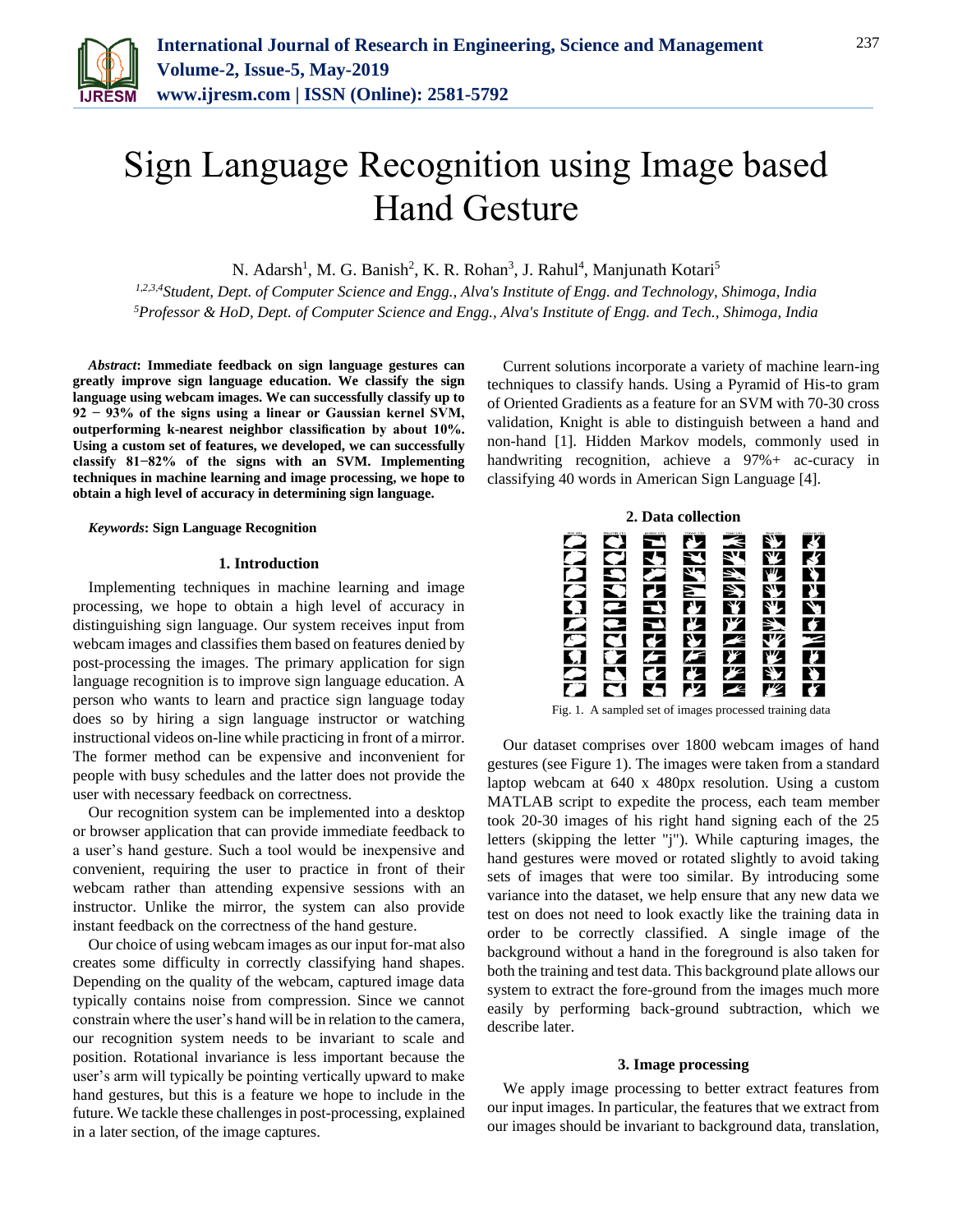

# Sign Language Recognition using Image based Hand Gesture

N. Adarsh<sup>1</sup>, M. G. Banish<sup>2</sup>, K. R. Rohan<sup>3</sup>, J. Rahul<sup>4</sup>, Manjunath Kotari<sup>5</sup>

*1,2,3,4Student, Dept. of Computer Science and Engg., Alva's Institute of Engg. and Technology, Shimoga, India 5Professor & HoD, Dept. of Computer Science and Engg., Alva's Institute of Engg. and Tech., Shimoga, India*

*Abstract***: Immediate feedback on sign language gestures can greatly improve sign language education. We classify the sign language using webcam images. We can successfully classify up to 92 − 93% of the signs using a linear or Gaussian kernel SVM, outperforming k-nearest neighbor classification by about 10%. Using a custom set of features, we developed, we can successfully classify 81−82% of the signs with an SVM. Implementing techniques in machine learning and image processing, we hope to obtain a high level of accuracy in determining sign language.**

#### *Keywords***: Sign Language Recognition**

#### **1. Introduction**

Implementing techniques in machine learning and image processing, we hope to obtain a high level of accuracy in distinguishing sign language. Our system receives input from webcam images and classifies them based on features denied by post-processing the images. The primary application for sign language recognition is to improve sign language education. A person who wants to learn and practice sign language today does so by hiring a sign language instructor or watching instructional videos on-line while practicing in front of a mirror. The former method can be expensive and inconvenient for people with busy schedules and the latter does not provide the user with necessary feedback on correctness.

Our recognition system can be implemented into a desktop or browser application that can provide immediate feedback to a user's hand gesture. Such a tool would be inexpensive and convenient, requiring the user to practice in front of their webcam rather than attending expensive sessions with an instructor. Unlike the mirror, the system can also provide instant feedback on the correctness of the hand gesture.

Our choice of using webcam images as our input for-mat also creates some difficulty in correctly classifying hand shapes. Depending on the quality of the webcam, captured image data typically contains noise from compression. Since we cannot constrain where the user's hand will be in relation to the camera, our recognition system needs to be invariant to scale and position. Rotational invariance is less important because the user's arm will typically be pointing vertically upward to make hand gestures, but this is a feature we hope to include in the future. We tackle these challenges in post-processing, explained in a later section, of the image captures.

Current solutions incorporate a variety of machine learn-ing techniques to classify hands. Using a Pyramid of His-to gram of Oriented Gradients as a feature for an SVM with 70-30 cross validation, Knight is able to distinguish between a hand and non-hand [1]. Hidden Markov models, commonly used in handwriting recognition, achieve a 97%+ ac-curacy in classifying 40 words in American Sign Language [4].



Fig. 1. A sampled set of images processed training data

Our dataset comprises over 1800 webcam images of hand gestures (see Figure 1). The images were taken from a standard laptop webcam at 640 x 480px resolution. Using a custom MATLAB script to expedite the process, each team member took 20-30 images of his right hand signing each of the 25 letters (skipping the letter "j"). While capturing images, the hand gestures were moved or rotated slightly to avoid taking sets of images that were too similar. By introducing some variance into the dataset, we help ensure that any new data we test on does not need to look exactly like the training data in order to be correctly classified. A single image of the background without a hand in the foreground is also taken for both the training and test data. This background plate allows our system to extract the fore-ground from the images much more easily by performing back-ground subtraction, which we describe later.

#### **3. Image processing**

We apply image processing to better extract features from our input images. In particular, the features that we extract from our images should be invariant to background data, translation,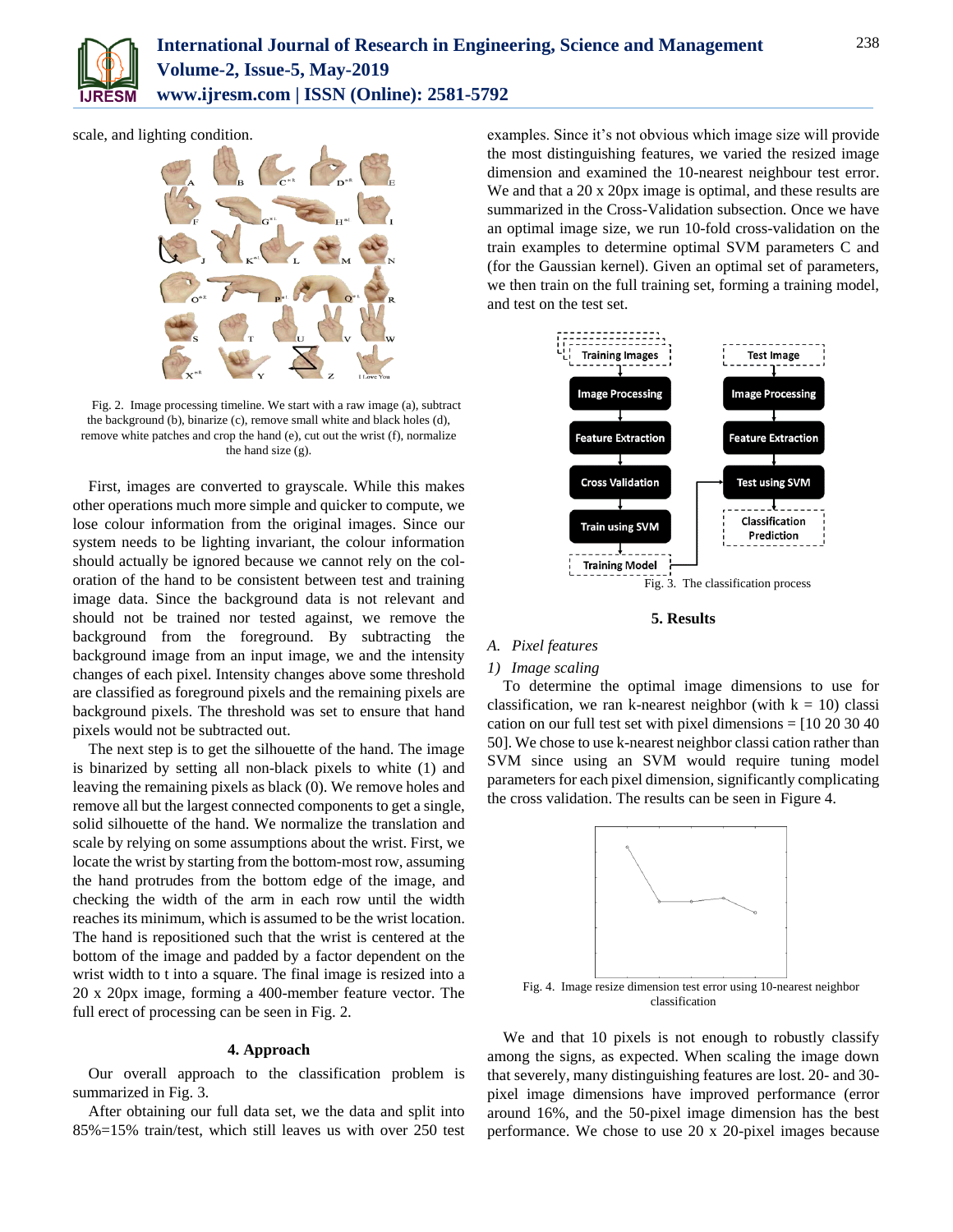

scale, and lighting condition.



Fig. 2. Image processing timeline. We start with a raw image (a), subtract the background (b), binarize (c), remove small white and black holes (d), remove white patches and crop the hand (e), cut out the wrist (f), normalize the hand size (g).

First, images are converted to grayscale. While this makes other operations much more simple and quicker to compute, we lose colour information from the original images. Since our system needs to be lighting invariant, the colour information should actually be ignored because we cannot rely on the coloration of the hand to be consistent between test and training image data. Since the background data is not relevant and should not be trained nor tested against, we remove the background from the foreground. By subtracting the background image from an input image, we and the intensity changes of each pixel. Intensity changes above some threshold are classified as foreground pixels and the remaining pixels are background pixels. The threshold was set to ensure that hand pixels would not be subtracted out.

The next step is to get the silhouette of the hand. The image is binarized by setting all non-black pixels to white (1) and leaving the remaining pixels as black (0). We remove holes and remove all but the largest connected components to get a single, solid silhouette of the hand. We normalize the translation and scale by relying on some assumptions about the wrist. First, we locate the wrist by starting from the bottom-most row, assuming the hand protrudes from the bottom edge of the image, and checking the width of the arm in each row until the width reaches its minimum, which is assumed to be the wrist location. The hand is repositioned such that the wrist is centered at the bottom of the image and padded by a factor dependent on the wrist width to t into a square. The final image is resized into a 20 x 20px image, forming a 400-member feature vector. The full erect of processing can be seen in Fig. 2.

# **4. Approach**

Our overall approach to the classification problem is summarized in Fig. 3.

After obtaining our full data set, we the data and split into 85%=15% train/test, which still leaves us with over 250 test examples. Since it's not obvious which image size will provide the most distinguishing features, we varied the resized image dimension and examined the 10-nearest neighbour test error. We and that a 20 x 20px image is optimal, and these results are summarized in the Cross-Validation subsection. Once we have an optimal image size, we run 10-fold cross-validation on the train examples to determine optimal SVM parameters C and (for the Gaussian kernel). Given an optimal set of parameters, we then train on the full training set, forming a training model, and test on the test set.



**5. Results**

# *A. Pixel features*

#### *1) Image scaling*

To determine the optimal image dimensions to use for classification, we ran k-nearest neighbor (with  $k = 10$ ) classi cation on our full test set with pixel dimensions = [10 20 30 40 50]. We chose to use k-nearest neighbor classi cation rather than SVM since using an SVM would require tuning model parameters for each pixel dimension, significantly complicating the cross validation. The results can be seen in Figure 4.



We and that 10 pixels is not enough to robustly classify among the signs, as expected. When scaling the image down that severely, many distinguishing features are lost. 20- and 30 pixel image dimensions have improved performance (error around 16%, and the 50-pixel image dimension has the best performance. We chose to use 20 x 20-pixel images because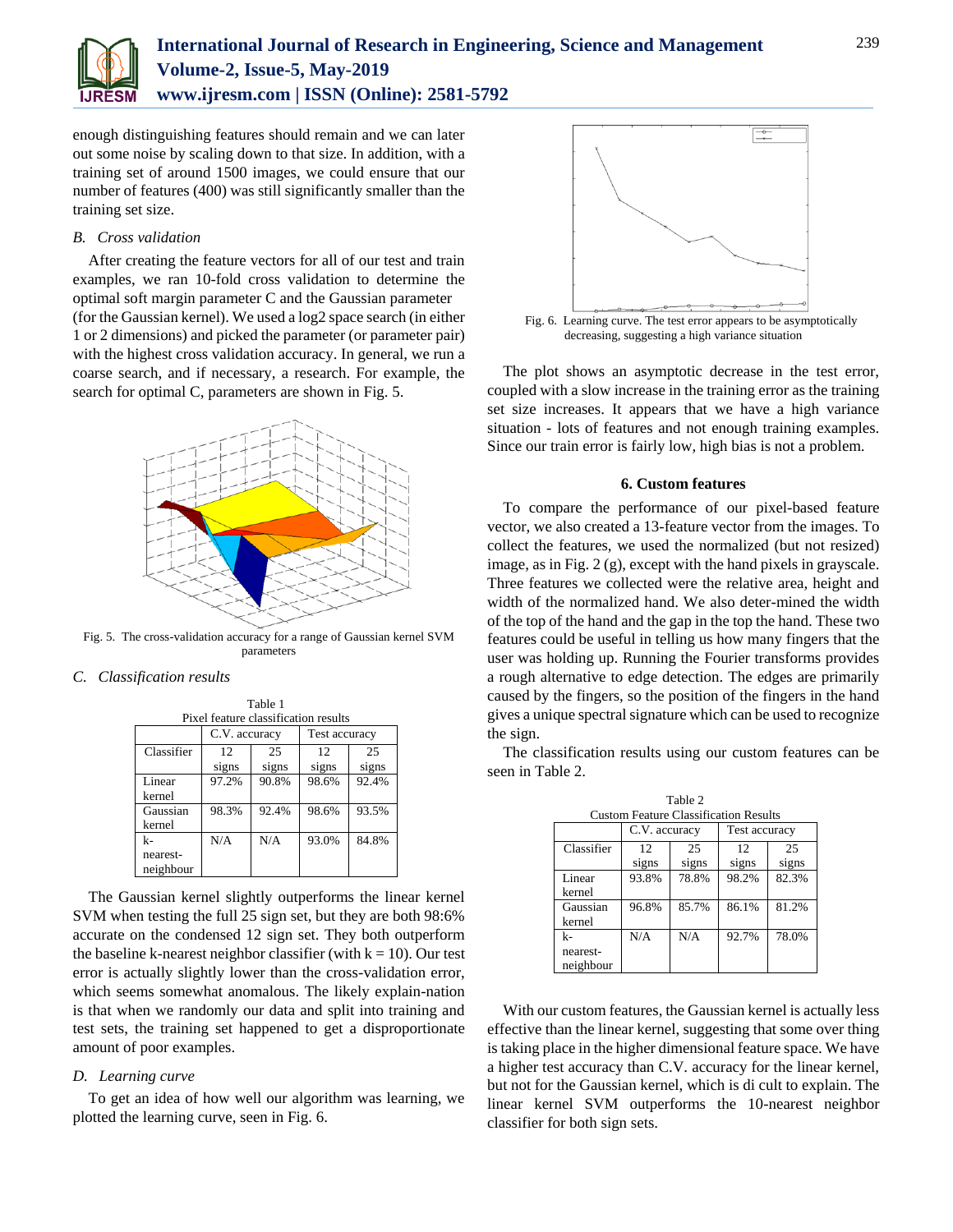

# **International Journal of Research in Engineering, Science and Management Volume-2, Issue-5, May-2019 www.ijresm.com | ISSN (Online): 2581-5792**

enough distinguishing features should remain and we can later out some noise by scaling down to that size. In addition, with a training set of around 1500 images, we could ensure that our number of features (400) was still significantly smaller than the training set size.

### *B. Cross validation*

After creating the feature vectors for all of our test and train examples, we ran 10-fold cross validation to determine the optimal soft margin parameter C and the Gaussian parameter (for the Gaussian kernel). We used a log2 space search (in either 1 or 2 dimensions) and picked the parameter (or parameter pair) with the highest cross validation accuracy. In general, we run a coarse search, and if necessary, a research. For example, the search for optimal C, parameters are shown in Fig. 5.



Fig. 5. The cross-validation accuracy for a range of Gaussian kernel SVM parameters

# *C. Classification results*

| Pixel feature classification results |               |       |               |       |  |  |
|--------------------------------------|---------------|-------|---------------|-------|--|--|
|                                      | C.V. accuracy |       | Test accuracy |       |  |  |
| Classifier                           | 12.           | 25    | 12            | 25    |  |  |
|                                      | signs         | signs | signs         | signs |  |  |
| Linear                               | 97.2%         | 90.8% | 98.6%         | 92.4% |  |  |
| kernel                               |               |       |               |       |  |  |
| Gaussian                             | 98.3%         | 92.4% | 98.6%         | 93.5% |  |  |
| kernel                               |               |       |               |       |  |  |
| k-                                   | N/A           | N/A   | 93.0%         | 84.8% |  |  |
| nearest-                             |               |       |               |       |  |  |
| neighbour                            |               |       |               |       |  |  |

Table 1

The Gaussian kernel slightly outperforms the linear kernel SVM when testing the full 25 sign set, but they are both 98:6% accurate on the condensed 12 sign set. They both outperform the baseline k-nearest neighbor classifier (with  $k = 10$ ). Our test error is actually slightly lower than the cross-validation error, which seems somewhat anomalous. The likely explain-nation is that when we randomly our data and split into training and test sets, the training set happened to get a disproportionate amount of poor examples.

# *D. Learning curve*

To get an idea of how well our algorithm was learning, we plotted the learning curve, seen in Fig. 6.



The plot shows an asymptotic decrease in the test error, coupled with a slow increase in the training error as the training set size increases. It appears that we have a high variance situation - lots of features and not enough training examples. Since our train error is fairly low, high bias is not a problem.

#### **6. Custom features**

To compare the performance of our pixel-based feature vector, we also created a 13-feature vector from the images. To collect the features, we used the normalized (but not resized) image, as in Fig. 2 (g), except with the hand pixels in grayscale. Three features we collected were the relative area, height and width of the normalized hand. We also deter-mined the width of the top of the hand and the gap in the top the hand. These two features could be useful in telling us how many fingers that the user was holding up. Running the Fourier transforms provides a rough alternative to edge detection. The edges are primarily caused by the fingers, so the position of the fingers in the hand gives a unique spectral signature which can be used to recognize the sign.

The classification results using our custom features can be seen in Table 2.

| Table 2                                      |               |       |               |       |  |  |  |
|----------------------------------------------|---------------|-------|---------------|-------|--|--|--|
| <b>Custom Feature Classification Results</b> |               |       |               |       |  |  |  |
|                                              | C.V. accuracy |       | Test accuracy |       |  |  |  |
| Classifier                                   | 12            | 25    | 12            | 25    |  |  |  |
|                                              | signs         | signs | signs         | signs |  |  |  |
| Linear                                       | 93.8%         | 78.8% | 98.2%         | 82.3% |  |  |  |
| kernel                                       |               |       |               |       |  |  |  |
| Gaussian                                     | 96.8%         | 85.7% | 86.1%         | 81.2% |  |  |  |
| kernel                                       |               |       |               |       |  |  |  |
| k-                                           | N/A           | N/A   | 92.7%         | 78.0% |  |  |  |
| nearest-                                     |               |       |               |       |  |  |  |
| neighbour                                    |               |       |               |       |  |  |  |

With our custom features, the Gaussian kernel is actually less effective than the linear kernel, suggesting that some over thing is taking place in the higher dimensional feature space. We have a higher test accuracy than C.V. accuracy for the linear kernel, but not for the Gaussian kernel, which is di cult to explain. The linear kernel SVM outperforms the 10-nearest neighbor classifier for both sign sets.